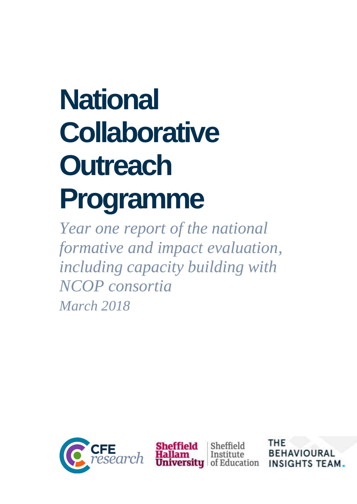# **National Collaborative Outreach Programme**

*Year one report of the national formative and impact evaluation, including capacity building with NCOP consortia March 2018*



Sheffield Institute **ty** of Education THE **BEHAVIOURAL INSIGHTS TEAM**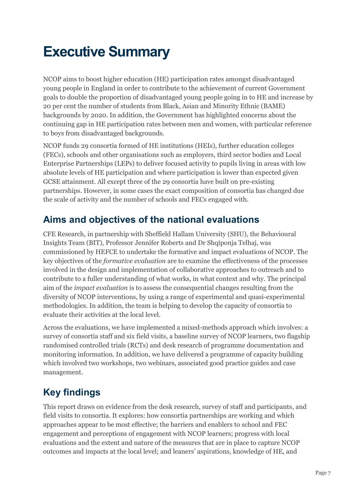# **Executive Summary**

NCOP aims to boost higher education (HE) participation rates amongst disadvantaged young people in England in order to contribute to the achievement of current Government goals to double the proportion of disadvantaged young people going in to HE and increase by 20 per cent the number of students from Black, Asian and Minority Ethnic (BAME) backgrounds by 2020. In addition, the Government has highlighted concerns about the continuing gap in HE participation rates between men and women, with particular reference to boys from disadvantaged backgrounds.

NCOP funds 29 consortia formed of HE institutions (HEIs), further education colleges (FECs), schools and other organisations such as employers, third sector bodies and Local Enterprise Partnerships (LEPs) to deliver focused activity to pupils living in areas with low absolute levels of HE participation and where participation is lower than expected given GCSE attainment. All except three of the 29 consortia have built on pre-existing partnerships. However, in some cases the exact composition of consortia has changed due the scale of activity and the number of schools and FECs engaged with.

### **Aims and objectives of the national evaluations**

CFE Research, in partnership with Sheffield Hallam University (SHU), the Behavioural Insights Team (BIT), Professor Jennifer Roberts and Dr Shqiponja Telhaj, was commissioned by HEFCE to undertake the formative and impact evaluations of NCOP. The key objectives of the *formative evaluation* are to examine the effectiveness of the processes involved in the design and implementation of collaborative approaches to outreach and to contribute to a fuller understanding of what works, in what context and why. The principal aim of the *impact evaluation* is to assess the consequential changes resulting from the diversity of NCOP interventions, by using a range of experimental and quasi-experimental methodologies. In addition, the team is helping to develop the capacity of consortia to evaluate their activities at the local level.

Across the evaluations, we have implemented a mixed-methods approach which involves: a survey of consortia staff and six field visits, a baseline survey of NCOP learners, two flagship randomised controlled trials (RCTs) and desk research of programme documentation and monitoring information. In addition, we have delivered a programme of capacity building which involved two workshops, two webinars, associated good practice guides and case management.

## **Key findings**

This report draws on evidence from the desk research, survey of staff and participants, and field visits to consortia. It explores: how consortia partnerships are working and which approaches appear to be most effective; the barriers and enablers to school and FEC engagement and perceptions of engagement with NCOP learners; progress with local evaluations and the extent and nature of the measures that are in place to capture NCOP outcomes and impacts at the local level; and leaners' aspirations, knowledge of HE, and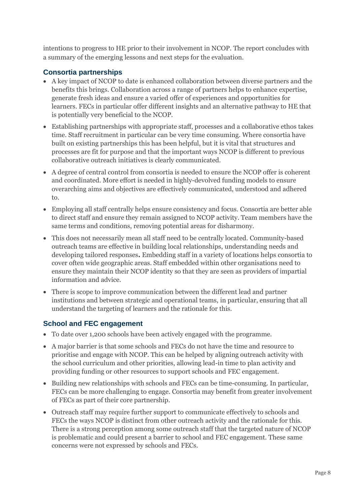intentions to progress to HE prior to their involvement in NCOP. The report concludes with a summary of the emerging lessons and next steps for the evaluation.

#### **Consortia partnerships**

- A key impact of NCOP to date is enhanced collaboration between diverse partners and the benefits this brings. Collaboration across a range of partners helps to enhance expertise, generate fresh ideas and ensure a varied offer of experiences and opportunities for learners. FECs in particular offer different insights and an alternative pathway to HE that is potentially very beneficial to the NCOP.
- Establishing partnerships with appropriate staff, processes and a collaborative ethos takes time. Staff recruitment in particular can be very time consuming. Where consortia have built on existing partnerships this has been helpful, but it is vital that structures and processes are fit for purpose and that the important ways NCOP is different to previous collaborative outreach initiatives is clearly communicated.
- A degree of central control from consortia is needed to ensure the NCOP offer is coherent and coordinated. More effort is needed in highly-devolved funding models to ensure overarching aims and objectives are effectively communicated, understood and adhered to.
- Employing all staff centrally helps ensure consistency and focus. Consortia are better able to direct staff and ensure they remain assigned to NCOP activity. Team members have the same terms and conditions, removing potential areas for disharmony.
- This does not necessarily mean all staff need to be centrally located. Community-based outreach teams are effective in building local relationships, understanding needs and developing tailored responses**.** Embedding staff in a variety of locations helps consortia to cover often wide geographic areas. Staff embedded within other organisations need to ensure they maintain their NCOP identity so that they are seen as providers of impartial information and advice.
- There is scope to improve communication between the different lead and partner institutions and between strategic and operational teams, in particular, ensuring that all understand the targeting of learners and the rationale for this.

#### **School and FEC engagement**

- To date over 1,200 schools have been actively engaged with the programme.
- A major barrier is that some schools and FECs do not have the time and resource to prioritise and engage with NCOP. This can be helped by aligning outreach activity with the school curriculum and other priorities, allowing lead-in time to plan activity and providing funding or other resources to support schools and FEC engagement.
- Building new relationships with schools and FECs can be time-consuming. In particular, FECs can be more challenging to engage. Consortia may benefit from greater involvement of FECs as part of their core partnership.
- Outreach staff may require further support to communicate effectively to schools and FECs the ways NCOP is distinct from other outreach activity and the rationale for this. There is a strong perception among some outreach staff that the targeted nature of NCOP is problematic and could present a barrier to school and FEC engagement. These same concerns were not expressed by schools and FECs.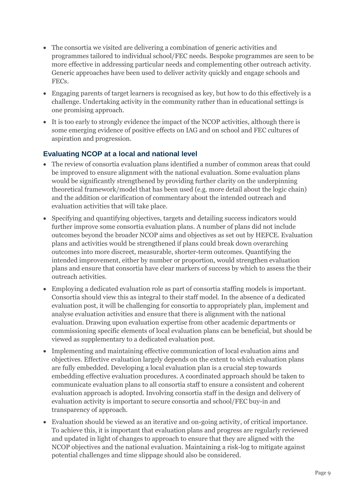- The consortia we visited are delivering a combination of generic activities and programmes tailored to individual school/FEC needs. Bespoke programmes are seen to be more effective in addressing particular needs and complementing other outreach activity. Generic approaches have been used to deliver activity quickly and engage schools and FECs.
- Engaging parents of target learners is recognised as key, but how to do this effectively is a challenge. Undertaking activity in the community rather than in educational settings is one promising approach.
- It is too early to strongly evidence the impact of the NCOP activities, although there is some emerging evidence of positive effects on IAG and on school and FEC cultures of aspiration and progression.

#### **Evaluating NCOP at a local and national level**

- The review of consortia evaluation plans identified a number of common areas that could be improved to ensure alignment with the national evaluation. Some evaluation plans would be significantly strengthened by providing further clarity on the underpinning theoretical framework/model that has been used (e.g. more detail about the logic chain) and the addition or clarification of commentary about the intended outreach and evaluation activities that will take place.
- Specifying and quantifying objectives, targets and detailing success indicators would further improve some consortia evaluation plans. A number of plans did not include outcomes beyond the broader NCOP aims and objectives as set out by HEFCE. Evaluation plans and activities would be strengthened if plans could break down overarching outcomes into more discreet, measurable, shorter-term outcomes. Quantifying the intended improvement, either by number or proportion, would strengthen evaluation plans and ensure that consortia have clear markers of success by which to assess the their outreach activities.
- Employing a dedicated evaluation role as part of consortia staffing models is important. Consortia should view this as integral to their staff model. In the absence of a dedicated evaluation post, it will be challenging for consortia to appropriately plan, implement and analyse evaluation activities and ensure that there is alignment with the national evaluation. Drawing upon evaluation expertise from other academic departments or commissioning specific elements of local evaluation plans can be beneficial, but should be viewed as supplementary to a dedicated evaluation post.
- Implementing and maintaining effective communication of local evaluation aims and objectives. Effective evaluation largely depends on the extent to which evaluation plans are fully embedded. Developing a local evaluation plan is a crucial step towards embedding effective evaluation procedures. A coordinated approach should be taken to communicate evaluation plans to all consortia staff to ensure a consistent and coherent evaluation approach is adopted. Involving consortia staff in the design and delivery of evaluation activity is important to secure consortia and school/FEC buy-in and transparency of approach.
- Evaluation should be viewed as an iterative and on-going activity, of critical importance. To achieve this, it is important that evaluation plans and progress are regularly reviewed and updated in light of changes to approach to ensure that they are aligned with the NCOP objectives and the national evaluation. Maintaining a risk-log to mitigate against potential challenges and time slippage should also be considered.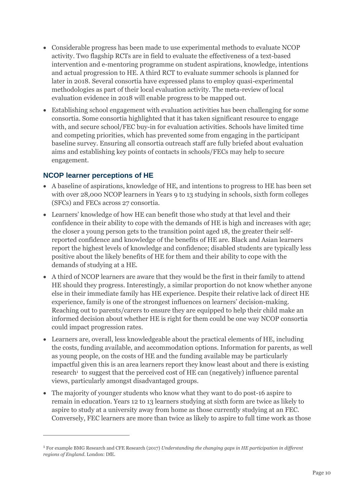- Considerable progress has been made to use experimental methods to evaluate NCOP activity. Two flagship RCTs are in field to evaluate the effectiveness of a text-based intervention and e-mentoring programme on student aspirations, knowledge, intentions and actual progression to HE. A third RCT to evaluate summer schools is planned for later in 2018. Several consortia have expressed plans to employ quasi-experimental methodologies as part of their local evaluation activity. The meta-review of local evaluation evidence in 2018 will enable progress to be mapped out.
- Establishing school engagement with evaluation activities has been challenging for some consortia. Some consortia highlighted that it has taken significant resource to engage with, and secure school/FEC buy-in for evaluation activities. Schools have limited time and competing priorities, which has prevented some from engaging in the participant baseline survey. Ensuring all consortia outreach staff are fully briefed about evaluation aims and establishing key points of contacts in schools/FECs may help to secure engagement.

#### **NCOP learner perceptions of HE**

 $\overline{a}$ 

- A baseline of aspirations, knowledge of HE, and intentions to progress to HE has been set with over 28,000 NCOP learners in Years 9 to 13 studying in schools, sixth form colleges (SFCs) and FECs across 27 consortia.
- Learners' knowledge of how HE can benefit those who study at that level and their confidence in their ability to cope with the demands of HE is high and increases with age; the closer a young person gets to the transition point aged 18, the greater their selfreported confidence and knowledge of the benefits of HE are. Black and Asian learners report the highest levels of knowledge and confidence; disabled students are typically less positive about the likely benefits of HE for them and their ability to cope with the demands of studying at a HE.
- A third of NCOP learners are aware that they would be the first in their family to attend HE should they progress. Interestingly, a similar proportion do not know whether anyone else in their immediate family has HE experience. Despite their relative lack of direct HE experience, family is one of the strongest influences on learners' decision-making. Reaching out to parents/carers to ensure they are equipped to help their child make an informed decision about whether HE is right for them could be one way NCOP consortia could impact progression rates.
- Learners are, overall, less knowledgeable about the practical elements of HE, including the costs, funding available, and accommodation options. Information for parents, as well as young people, on the costs of HE and the funding available may be particularly impactful given this is an area learners report they know least about and there is existing research<sup>1</sup> to suggest that the perceived cost of HE can (negatively) influence parental views, particularly amongst disadvantaged groups.
- The majority of younger students who know what they want to do post-16 aspire to remain in education. Years 12 to 13 learners studying at sixth form are twice as likely to aspire to study at a university away from home as those currently studying at an FEC. Conversely, FEC learners are more than twice as likely to aspire to full time work as those

<sup>1</sup> For example BMG Research and CFE Research (2017) *Understanding the changing gaps in HE participation in different regions of England*. London: DfE.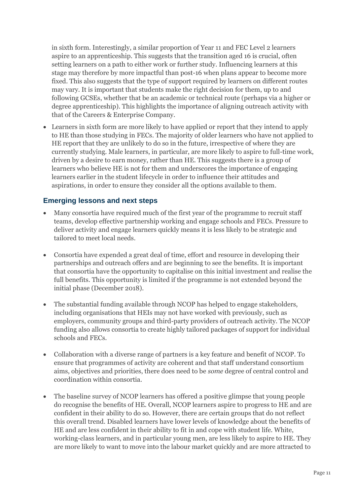in sixth form. Interestingly, a similar proportion of Year 11 and FEC Level 2 learners aspire to an apprenticeship. This suggests that the transition aged 16 is crucial, often setting learners on a path to either work or further study. Influencing learners at this stage may therefore by more impactful than post-16 when plans appear to become more fixed. This also suggests that the type of support required by learners on different routes may vary. It is important that students make the right decision for them, up to and following GCSEs, whether that be an academic or technical route (perhaps via a higher or degree apprenticeship). This highlights the importance of aligning outreach activity with that of the Careers & Enterprise Company.

 Learners in sixth form are more likely to have applied or report that they intend to apply to HE than those studying in FECs. The majority of older learners who have not applied to HE report that they are unlikely to do so in the future, irrespective of where they are currently studying. Male learners, in particular, are more likely to aspire to full-time work, driven by a desire to earn money, rather than HE. This suggests there is a group of learners who believe HE is not for them and underscores the importance of engaging learners earlier in the student lifecycle in order to influence their attitudes and aspirations, in order to ensure they consider all the options available to them.

#### **Emerging lessons and next steps**

- Many consortia have required much of the first year of the programme to recruit staff teams, develop effective partnership working and engage schools and FECs. Pressure to deliver activity and engage learners quickly means it is less likely to be strategic and tailored to meet local needs.
- Consortia have expended a great deal of time, effort and resource in developing their partnerships and outreach offers and are beginning to see the benefits. It is important that consortia have the opportunity to capitalise on this initial investment and realise the full benefits. This opportunity is limited if the programme is not extended beyond the initial phase (December 2018).
- The substantial funding available through NCOP has helped to engage stakeholders, including organisations that HEIs may not have worked with previously, such as employers, community groups and third-party providers of outreach activity. The NCOP funding also allows consortia to create highly tailored packages of support for individual schools and FECs.
- Collaboration with a diverse range of partners is a key feature and benefit of NCOP. To ensure that programmes of activity are coherent and that staff understand consortium aims, objectives and priorities, there does need to be *some* degree of central control and coordination within consortia.
- The baseline survey of NCOP learners has offered a positive glimpse that young people do recognise the benefits of HE. Overall, NCOP learners aspire to progress to HE and are confident in their ability to do so. However, there are certain groups that do not reflect this overall trend. Disabled learners have lower levels of knowledge about the benefits of HE and are less confident in their ability to fit in and cope with student life. White, working-class learners, and in particular young men, are less likely to aspire to HE. They are more likely to want to move into the labour market quickly and are more attracted to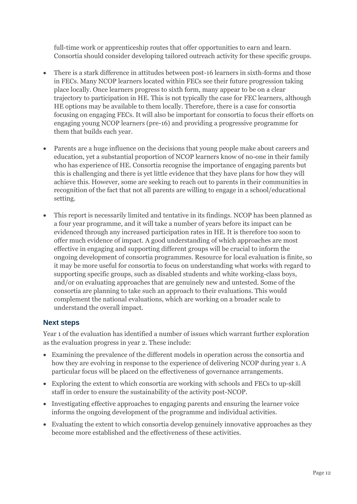full-time work or apprenticeship routes that offer opportunities to earn and learn. Consortia should consider developing tailored outreach activity for these specific groups.

- There is a stark difference in attitudes between post-16 learners in sixth-forms and those in FECs. Many NCOP learners located within FECs see their future progression taking place locally. Once learners progress to sixth form, many appear to be on a clear trajectory to participation in HE. This is not typically the case for FEC learners, although HE options may be available to them locally. Therefore, there is a case for consortia focusing on engaging FECs. It will also be important for consortia to focus their efforts on engaging young NCOP learners (pre-16) and providing a progressive programme for them that builds each year.
- Parents are a huge influence on the decisions that young people make about careers and education, yet a substantial proportion of NCOP learners know of no-one in their family who has experience of HE. Consortia recognise the importance of engaging parents but this is challenging and there is yet little evidence that they have plans for how they will achieve this. However, some are seeking to reach out to parents in their communities in recognition of the fact that not all parents are willing to engage in a school/educational setting.
- This report is necessarily limited and tentative in its findings. NCOP has been planned as a four year programme, and it will take a number of years before its impact can be evidenced through any increased participation rates in HE. It is therefore too soon to offer much evidence of impact. A good understanding of which approaches are most effective in engaging and supporting different groups will be crucial to inform the ongoing development of consortia programmes. Resource for local evaluation is finite, so it may be more useful for consortia to focus on understanding what works with regard to supporting specific groups, such as disabled students and white working-class boys, and/or on evaluating approaches that are genuinely new and untested. Some of the consortia are planning to take such an approach to their evaluations. This would complement the national evaluations, which are working on a broader scale to understand the overall impact.

#### **Next steps**

Year 1 of the evaluation has identified a number of issues which warrant further exploration as the evaluation progress in year 2. These include:

- Examining the prevalence of the different models in operation across the consortia and how they are evolving in response to the experience of delivering NCOP during year 1. A particular focus will be placed on the effectiveness of governance arrangements.
- Exploring the extent to which consortia are working with schools and FECs to up-skill staff in order to ensure the sustainability of the activity post-NCOP.
- Investigating effective approaches to engaging parents and ensuring the learner voice informs the ongoing development of the programme and individual activities.
- Evaluating the extent to which consortia develop genuinely innovative approaches as they become more established and the effectiveness of these activities.